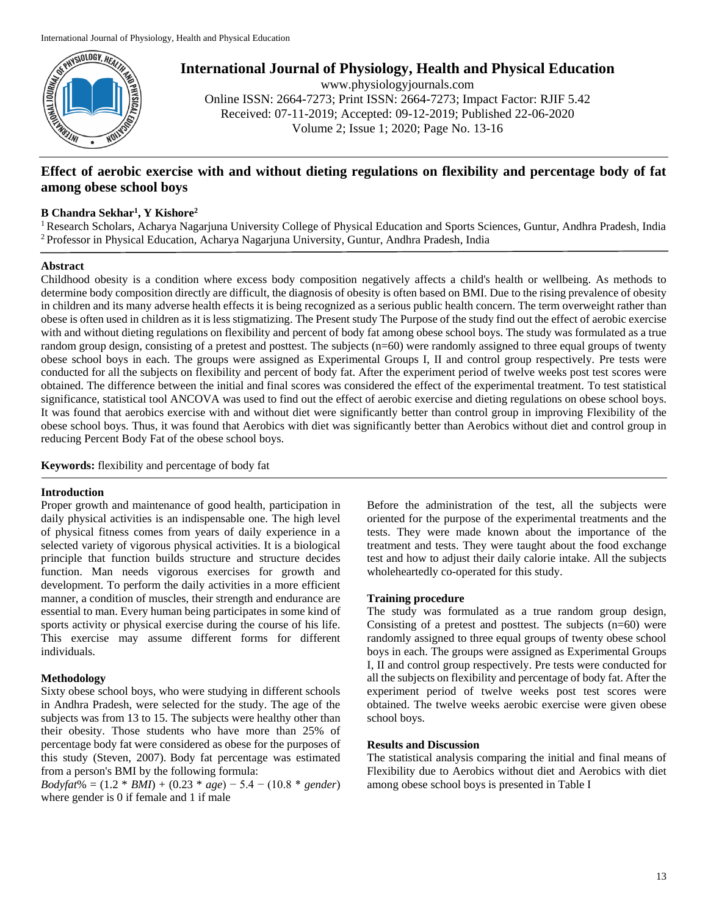

**International Journal of Physiology, Health and Physical Education**

www.physiologyjournals.com Online ISSN: 2664-7273; Print ISSN: 2664-7273; Impact Factor: RJIF 5.42 Received: 07-11-2019; Accepted: 09-12-2019; Published 22-06-2020 Volume 2; Issue 1; 2020; Page No. 13-16

# **Effect of aerobic exercise with and without dieting regulations on flexibility and percentage body of fat among obese school boys**

## **B Chandra Sekhar<sup>1</sup> , Y Kishore<sup>2</sup>**

<sup>1</sup> Research Scholars, Acharya Nagarjuna University College of Physical Education and Sports Sciences, Guntur, Andhra Pradesh, India <sup>2</sup>Professor in Physical Education, Acharya Nagarjuna University, Guntur, Andhra Pradesh, India

### **Abstract**

Childhood obesity is a condition where excess body composition negatively affects a child's health or wellbeing. As methods to determine body composition directly are difficult, the diagnosis of obesity is often based on BMI. Due to the rising prevalence of obesity in children and its many adverse health effects it is being recognized as a serious public health concern. The term overweight rather than obese is often used in children as it is less stigmatizing. The Present study The Purpose of the study find out the effect of aerobic exercise with and without dieting regulations on flexibility and percent of body fat among obese school boys. The study was formulated as a true random group design, consisting of a pretest and posttest. The subjects (n=60) were randomly assigned to three equal groups of twenty obese school boys in each. The groups were assigned as Experimental Groups I, II and control group respectively. Pre tests were conducted for all the subjects on flexibility and percent of body fat. After the experiment period of twelve weeks post test scores were obtained. The difference between the initial and final scores was considered the effect of the experimental treatment. To test statistical significance, statistical tool ANCOVA was used to find out the effect of aerobic exercise and dieting regulations on obese school boys. It was found that aerobics exercise with and without diet were significantly better than control group in improving Flexibility of the obese school boys. Thus, it was found that Aerobics with diet was significantly better than Aerobics without diet and control group in reducing Percent Body Fat of the obese school boys.

**Keywords:** flexibility and percentage of body fat

#### **Introduction**

Proper growth and maintenance of good health, participation in daily physical activities is an indispensable one. The high level of physical fitness comes from years of daily experience in a selected variety of vigorous physical activities. It is a biological principle that function builds structure and structure decides function. Man needs vigorous exercises for growth and development. To perform the daily activities in a more efficient manner, a condition of muscles, their strength and endurance are essential to man. Every human being participates in some kind of sports activity or physical exercise during the course of his life. This exercise may assume different forms for different individuals.

### **Methodology**

Sixty obese school boys, who were studying in different schools in Andhra Pradesh, were selected for the study. The age of the subjects was from 13 to 15. The subjects were healthy other than their obesity. Those students who have more than 25% of percentage body fat were considered as obese for the purposes of this study (Steven, 2007). Body fat percentage was estimated from a person's BMI by the following formula:

*Bodyfat*% = (1.2 \* *BMI*) + (0.23 \* *age*) − 5.4 − (10.8 \* *gender*) where gender is 0 if female and 1 if male

Before the administration of the test, all the subjects were oriented for the purpose of the experimental treatments and the tests. They were made known about the importance of the treatment and tests. They were taught about the food exchange test and how to adjust their daily calorie intake. All the subjects wholeheartedly co-operated for this study.

### **Training procedure**

The study was formulated as a true random group design, Consisting of a pretest and posttest. The subjects  $(n=60)$  were randomly assigned to three equal groups of twenty obese school boys in each. The groups were assigned as Experimental Groups I, II and control group respectively. Pre tests were conducted for all the subjects on flexibility and percentage of body fat. After the experiment period of twelve weeks post test scores were obtained. The twelve weeks aerobic exercise were given obese school boys.

#### **Results and Discussion**

The statistical analysis comparing the initial and final means of Flexibility due to Aerobics without diet and Aerobics with diet among obese school boys is presented in Table I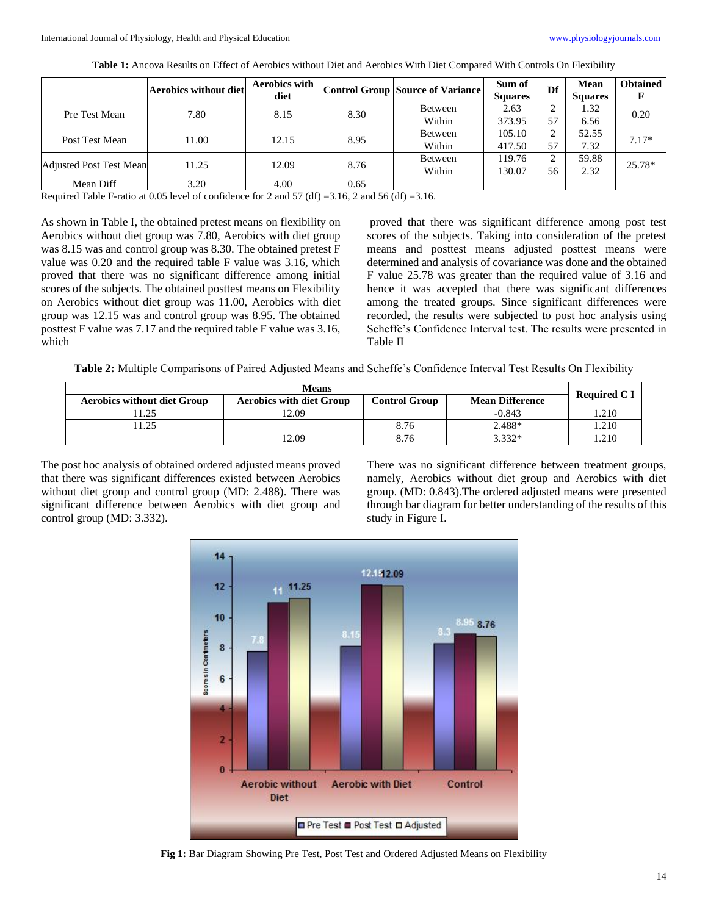|                                | <b>Aerobics without diet</b> | <b>Aerobics with</b><br>diet |      | Control Group Source of Variance | Sum of<br><b>Squares</b> | Df                  | Mean<br><b>Squares</b> | <b>Obtained</b> |
|--------------------------------|------------------------------|------------------------------|------|----------------------------------|--------------------------|---------------------|------------------------|-----------------|
| Pre Test Mean                  | 7.80                         | 8.15                         | 8.30 | Between                          | 2.63                     | ◠<br>$\overline{ }$ | 1.32                   | 0.20            |
|                                |                              |                              |      | Within                           | 373.95                   | 57                  | 6.56                   |                 |
| Post Test Mean                 | 11.00                        | 12.15                        | 8.95 | Between                          | 105.10                   |                     | 52.55                  | $7.17*$         |
|                                |                              |                              |      | Within                           | 417.50                   | 57                  | 7.32                   |                 |
| <b>Adjusted Post Test Mean</b> | 11.25                        | 12.09                        | 8.76 | Between                          | 119.76                   | ◠                   | 59.88                  | 25.78*          |
|                                |                              |                              |      | Within                           | 130.07                   | 56                  | 2.32                   |                 |
| Mean Diff                      | 3.20                         | 4.00                         | 0.65 |                                  |                          |                     |                        |                 |

**Table 1:** Ancova Results on Effect of Aerobics without Diet and Aerobics With Diet Compared With Controls On Flexibility

Required Table F-ratio at 0.05 level of confidence for 2 and 57 (df) =3.16, 2 and 56 (df) =3.16.

As shown in Table I, the obtained pretest means on flexibility on Aerobics without diet group was 7.80, Aerobics with diet group was 8.15 was and control group was 8.30. The obtained pretest F value was 0.20 and the required table F value was 3.16, which proved that there was no significant difference among initial scores of the subjects. The obtained posttest means on Flexibility on Aerobics without diet group was 11.00, Aerobics with diet group was 12.15 was and control group was 8.95. The obtained posttest F value was 7.17 and the required table F value was 3.16, which

proved that there was significant difference among post test scores of the subjects. Taking into consideration of the pretest means and posttest means adjusted posttest means were determined and analysis of covariance was done and the obtained F value 25.78 was greater than the required value of 3.16 and hence it was accepted that there was significant differences among the treated groups. Since significant differences were recorded, the results were subjected to post hoc analysis using Scheffe's Confidence Interval test. The results were presented in Table II

**Table 2:** Multiple Comparisons of Paired Adjusted Means and Scheffe's Confidence Interval Test Results On Flexibility

| <b>Means</b>                       |                                 |               |                        |              |  |
|------------------------------------|---------------------------------|---------------|------------------------|--------------|--|
| <b>Aerobics without diet Group</b> | <b>Aerobics with diet Group</b> | Control Group | <b>Mean Difference</b> | Required C I |  |
| 1.75                               | 12.09                           |               | $-0.843$               | 1.210        |  |
| $\gamma$                           |                                 | 8.76          | 2.488*                 | 1.210        |  |
|                                    | 12.09                           | 8.76          | 3.332*                 | 1.210        |  |

The post hoc analysis of obtained ordered adjusted means proved that there was significant differences existed between Aerobics without diet group and control group (MD: 2.488). There was significant difference between Aerobics with diet group and control group (MD: 3.332).

There was no significant difference between treatment groups, namely, Aerobics without diet group and Aerobics with diet group. (MD: 0.843).The ordered adjusted means were presented through bar diagram for better understanding of the results of this study in Figure I.



**Fig 1:** Bar Diagram Showing Pre Test, Post Test and Ordered Adjusted Means on Flexibility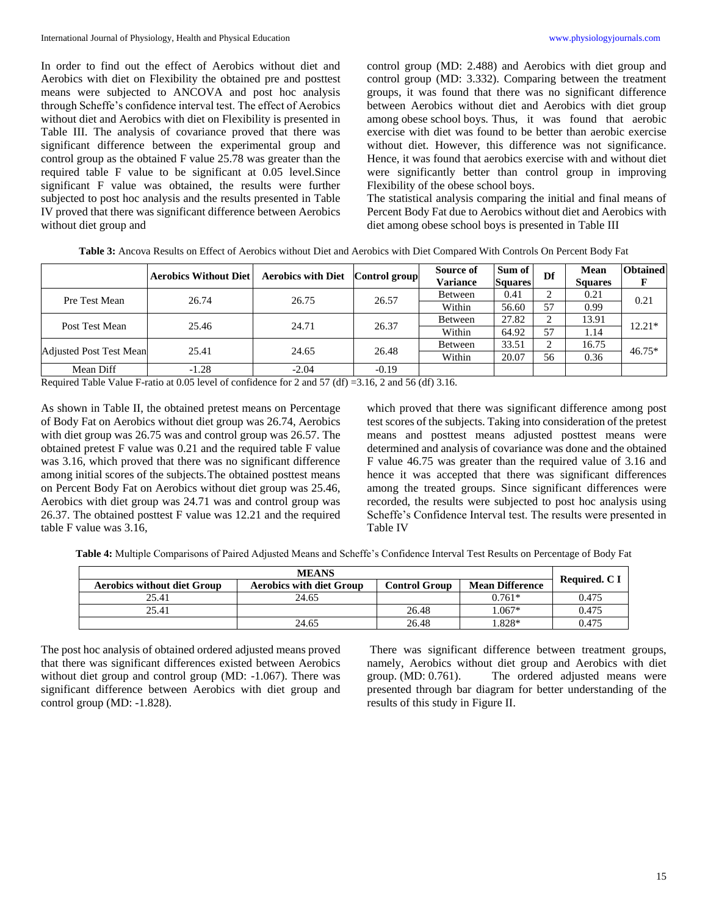In order to find out the effect of Aerobics without diet and Aerobics with diet on Flexibility the obtained pre and posttest means were subjected to ANCOVA and post hoc analysis through Scheffe's confidence interval test. The effect of Aerobics without diet and Aerobics with diet on Flexibility is presented in Table III. The analysis of covariance proved that there was significant difference between the experimental group and control group as the obtained F value 25.78 was greater than the required table F value to be significant at 0.05 level.Since significant F value was obtained, the results were further subjected to post hoc analysis and the results presented in Table IV proved that there was significant difference between Aerobics without diet group and

control group (MD: 2.488) and Aerobics with diet group and control group (MD: 3.332). Comparing between the treatment groups, it was found that there was no significant difference between Aerobics without diet and Aerobics with diet group among obese school boys. Thus, it was found that aerobic exercise with diet was found to be better than aerobic exercise without diet. However, this difference was not significance. Hence, it was found that aerobics exercise with and without diet were significantly better than control group in improving Flexibility of the obese school boys.

The statistical analysis comparing the initial and final means of Percent Body Fat due to Aerobics without diet and Aerobics with diet among obese school boys is presented in Table III

|                                | <b>Aerobics Without Diet</b> | <b>Aerobics with Diet</b> | Control group | Source of<br><b>Variance</b> | Sum of<br><b>Squares</b> | Df | Mean<br><b>Squares</b> | <b>Obtained</b> |
|--------------------------------|------------------------------|---------------------------|---------------|------------------------------|--------------------------|----|------------------------|-----------------|
| Pre Test Mean                  | 26.74                        | 26.75                     | 26.57         | Between                      | 0.41                     |    | 0.21                   | 0.21            |
|                                |                              |                           |               | Within                       | 56.60                    | 57 | 0.99                   |                 |
| Post Test Mean                 | 25.46                        | 24.71                     | 26.37         | Between                      | 27.82                    | ⌒  | 13.91                  | $12.21*$        |
|                                |                              |                           |               | Within                       | 64.92                    | 57 | 1.14                   |                 |
| <b>Adjusted Post Test Mean</b> | 25.41                        | 24.65                     | 26.48         | Between                      | 33.51                    | ◠  | 16.75                  | $46.75*$        |
|                                |                              |                           |               | Within                       | 20.07                    | 56 | 0.36                   |                 |
| Mean Diff                      | $-1.28$                      | $-2.04$                   | $-0.19$       |                              |                          |    |                        |                 |

**Table 3:** Ancova Results on Effect of Aerobics without Diet and Aerobics with Diet Compared With Controls On Percent Body Fat

Required Table Value F-ratio at 0.05 level of confidence for 2 and 57 (df) =3.16, 2 and 56 (df) 3.16.

As shown in Table II, the obtained pretest means on Percentage of Body Fat on Aerobics without diet group was 26.74, Aerobics with diet group was 26.75 was and control group was 26.57. The obtained pretest F value was 0.21 and the required table F value was 3.16, which proved that there was no significant difference among initial scores of the subjects.The obtained posttest means on Percent Body Fat on Aerobics without diet group was 25.46, Aerobics with diet group was 24.71 was and control group was 26.37. The obtained posttest F value was 12.21 and the required table F value was 3.16,

which proved that there was significant difference among post test scores of the subjects. Taking into consideration of the pretest means and posttest means adjusted posttest means were determined and analysis of covariance was done and the obtained F value 46.75 was greater than the required value of 3.16 and hence it was accepted that there was significant differences among the treated groups. Since significant differences were recorded, the results were subjected to post hoc analysis using Scheffe's Confidence Interval test. The results were presented in Table IV

**Table 4:** Multiple Comparisons of Paired Adjusted Means and Scheffe's Confidence Interval Test Results on Percentage of Body Fat

| <b>MEANS</b>                       |                                 |                      |                        |               |  |  |
|------------------------------------|---------------------------------|----------------------|------------------------|---------------|--|--|
| <b>Aerobics without diet Group</b> | <b>Aerobics with diet Group</b> | <b>Control Group</b> | <b>Mean Difference</b> | Required. C I |  |  |
| 25.41                              | 24.65                           |                      | $0.761*$               | 0.475         |  |  |
| 25.41                              |                                 | 26.48                | $.067*$                | 0.475         |  |  |
|                                    | 24.65                           | 26.48                | $.828*$                | 0.475         |  |  |

The post hoc analysis of obtained ordered adjusted means proved that there was significant differences existed between Aerobics without diet group and control group (MD: -1.067). There was significant difference between Aerobics with diet group and control group (MD: -1.828).

There was significant difference between treatment groups, namely, Aerobics without diet group and Aerobics with diet group. (MD: 0.761). The ordered adjusted means were presented through bar diagram for better understanding of the results of this study in Figure II.